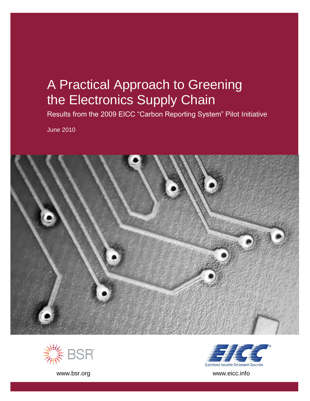# A Practical Approach to Greening the Electronics Supply Chain

Results from the 2009 EICC "Carbon Reporting System" Pilot Initiative

June 2010







[www.bsr.org](http://www.bsr.org/) www.eicc.info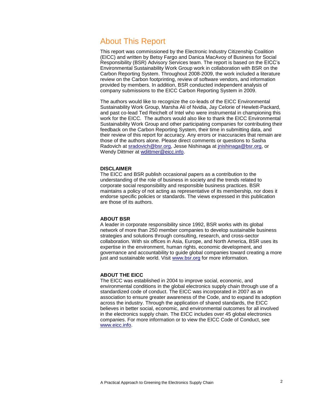# About This Report

This report was commissioned by the Electronic Industry Citizenship Coalition (EICC) and written by Betsy Fargo and Danica MacAvoy of Business for Social Responsibility (BSR) Advisory Services team. The report is based on the EICC's Environmental Sustainability Work Group work in collaboration with BSR on the Carbon Reporting System. Throughout 2008-2009, the work included a literature review on the Carbon footprinting, review of software vendors, and information provided by members. In addition, BSR conducted independent analysis of company submissions to the EICC Carbon Reporting System in 2009.

The authors would like to recognize the co-leads of the EICC Environmental Sustainability Work Group, Marsha Ali of Nvidia, Jay Celorie of Hewlett-Packard, and past co-lead Ted Reichelt of Intel who were instrumental in championing this work for the EICC. The authors would also like to thank the EICC Environmental Sustainability Work Group and other participating companies for contributing their feedback on the Carbon Reporting System, their time in submitting data, and their review of this report for accuracy. Any errors or inaccuracies that remain are those of the authors alone. Please direct comments or questions to Sasha Radovich at [sradovich@bsr.org,](mailto:sradovich@bsr.org) Jesse Nishinaga at [jnishinaga@bsr.org,](mailto:jnishinaga@bsr.org) or Wendy Dittmer at [wdittmer@eicc.info.](mailto:wdittmer@eicc.info)

#### **DISCLAIMER**

The EICC and BSR publish occasional papers as a contribution to the understanding of the role of business in society and the trends related to corporate social responsibility and responsible business practices. BSR maintains a policy of not acting as representative of its membership, nor does it endorse specific policies or standards. The views expressed in this publication are those of its authors.

#### **ABOUT BSR**

A leader in corporate responsibility since 1992, BSR works with its global network of more than [250 member companies](http://10.0.0.99/membership/index.cfm) to develop sustainable business strategies and solutions through [consulting,](http://10.0.0.99/consulting/index.cfm) [research,](http://10.0.0.99/research/index.cfm) and cross-sector collaboration. With six offices in Asia, Europe, and North America, BSR uses its expertise in the environment, human rights, economic development, and governance and accountability to guide global companies toward creating a more just and sustainable world. Visit [www.bsr.org](http://www.bsr.org/) for more information.

#### **ABOUT THE EICC**

The EICC was established in 2004 to improve social, economic, and environmental conditions in the global electronics supply chain through use of a standardized code of conduct. The EICC was incorporated in 2007 as an association to ensure greater awareness of the Code, and to expand its adoption across the industry. Through the application of shared standards, the EICC believes in better social, economic, and environmental outcomes for all involved in the electronics supply chain. The EICC includes over 45 global electronics companies. For more information or to view the EICC Code of Conduct, see [www.eicc.info.](http://www.eicc.info/)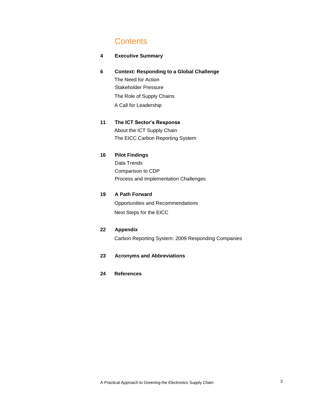# **Contents**

#### **4 Executive Summary**

**6 Context: Responding to a Global Challenge** The Need for Action Stakeholder Pressure The Role of Supply Chains A Call for Leadership

## **11 The ICT Sector's Response** About the ICT Supply Chain The EICC Carbon Reporting System

#### **16 Pilot Findings**

Data Trends Comparison to CDP Process and Implementation Challenges

#### **19 A Path Forward**

Opportunities and Recommendations Next Steps for the EICC

#### **22 Appendix**

Carbon Reporting System: 2009 Responding Companies

#### **23 Acronyms and Abbreviations**

#### **24 References**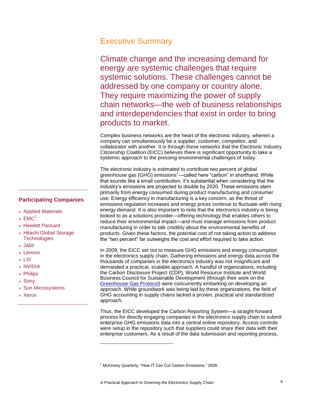## Executive Summary

Climate change and the increasing demand for energy are systemic challenges that require systemic solutions. These challenges cannot be addressed by one company or country alone. They require maximizing the power of supply chain networks—the web of business relationships and interdependencies that exist in order to bring products to market.

Complex business networks are the heart of the electronic industry, wherein a company can simultaneously be a supplier, customer, competitor, and collaborator with another. It is through these networks that the Electronic Industry Citizenship Coalition (EICC) believes there is significant opportunity to take a systemic approach to the pressing environmental challenges of today.

The electronic industry is estimated to contribute two percent of global greenhouse gas (GHG) emissions<sup>1</sup>—called here "carbon" in shorthand. While that sounds like a small contribution, it's substantial when considering that the industry's emissions are projected to double by 2020. These emissions stem primarily from energy consumed during product manufacturing and consumer use. Energy efficiency in manufacturing is a key concern, as the threat of emissions regulation increases and energy prices continue to fluctuate with rising energy demand. It is also important to note that the electronics industry is being looked to as a solutions provider—offering technology that enables others to reduce their environmental impact—and must manage emissions from product manufacturing in order to talk credibly about the environmental benefits of products. Given these factors, the potential cost of not taking action to address the "two percent" far outweighs the cost and effort required to take action.

In 2009, the EICC set out to measure GHG emissions and energy consumption in the electronics supply chain. Gathering emissions and energy data across the thousands of companies in the electronics industry was not insignificant and demanded a practical, scalable approach. A handful of organizations, including the Carbon Disclosure Project (CDP), World Resource Institute and World Business Council for Sustainable Development (through their work on the [Greenhouse Gas Protocol\)](http://www.ghgprotocol.org/) were concurrently embarking on developing an approach. While groundwork was being laid by these organizations, the field of GHG accounting in supply chains lacked a proven, practical and standardized approach.

Thus, the EICC developed the Carbon Reporting System—a straight-forward process for directly engaging companies in the electronics supply chain to submit enterprise GHG emissions data into a central online repository. Access controls were setup in the repository such that suppliers could share their data with their enterprise customers. As a result of the data submission and reporting process,

l

#### **Participating Companies**

- » Applied Materials
- »  $FMC^2$
- » Hewlett Packard
- » Hitachi Global Storage **Technologies**
- » Jabil
- » Lenovo
- » LSI
- » NVIDIA
- » Philips
- » Sony
- » Sun Microsystems
- » Xerox

 $1$  McKinsey Quarterly, "How IT Can Cut Carbon Emissions," 2008.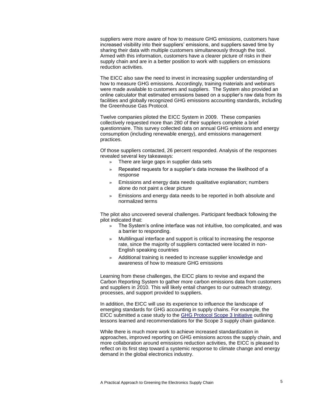suppliers were more aware of how to measure GHG emissions, customers have increased visibility into their suppliers' emissions, and suppliers saved time by sharing their data with multiple customers simultaneously through the tool. Armed with this information, customers have a clearer picture of risks in their supply chain and are in a better position to work with suppliers on emissions reduction activities.

The EICC also saw the need to invest in increasing supplier understanding of how to measure GHG emissions. Accordingly, training materials and webinars were made available to customers and suppliers. The System also provided an online calculator that estimated emissions based on a supplier's raw data from its facilities and globally recognized GHG emissions accounting standards, including the Greenhouse Gas Protocol.

Twelve companies piloted the EICC System in 2009. These companies collectively requested more than 280 of their suppliers complete a brief questionnaire. This survey collected data on annual GHG emissions and energy consumption (including renewable energy), and emissions management practices.

Of those suppliers contacted, 26 percent responded. Analysis of the responses revealed several key takeaways:

- » There are large gaps in supplier data sets
- » Repeated requests for a supplier's data increase the likelihood of a response
- » Emissions and energy data needs qualitative explanation; numbers alone do not paint a clear picture
- » Emissions and energy data needs to be reported in both absolute and normalized terms

The pilot also uncovered several challenges. Participant feedback following the pilot indicated that:

- » The System's online interface was not intuitive, too complicated, and was a barrier to responding.
- » Multilingual interface and support is critical to increasing the response rate, since the majority of suppliers contacted were located in non-English speaking countries
- » Additional training is needed to increase supplier knowledge and awareness of how to measure GHG emissions

Learning from these challenges, the EICC plans to revise and expand the Carbon Reporting System to gather more carbon emissions data from customers and suppliers in 2010. This will likely entail changes to our outreach strategy, processes, and support provided to suppliers.

In addition, the EICC will use its experience to influence the landscape of emerging standards for GHG accounting in supply chains. For example, the EICC submitted a case study to the [GHG Protocol Scope 3 Initiative](http://www.ghgprotocol.org/standards/product-and-supply-chain-standard) outlining lessons learned and recommendations for the Scope 3 supply chain guidance.

While there is much more work to achieve increased standardization in approaches, improved reporting on GHG emissions across the supply chain, and more collaboration around emissions reduction activities, the EICC is pleased to reflect on its first step toward a systemic response to climate change and energy demand in the global electronics industry.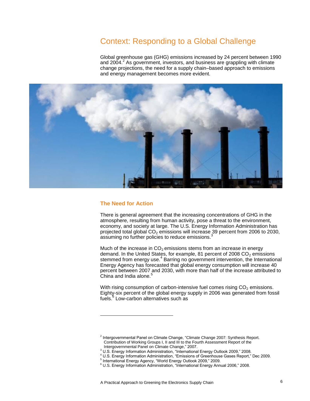# Context: Responding to a Global Challenge

Global greenhouse gas (GHG) emissions increased by 24 percent between 1990 and 2004.<sup>2</sup> As government, investors, and business are grappling with climate change projections, the need for a supply chain–based approach to emissions and energy management becomes more evident.



#### **The Need for Action**

l

There is general agreement that the increasing concentrations of GHG in the atmosphere, resulting from human activity, pose a threat to the environment, economy, and society at large. The U.S. Energy Information Administration has projected total global  $CO<sub>2</sub>$  emissions will increase 39 percent from 2006 to 2030,  $a$ ssuming no further policies to reduce emissions. $3$ 

Much of the increase in  $CO<sub>2</sub>$  emissions stems from an increase in energy demand. In the United States, for example, 81 percent of 2008  $CO<sub>2</sub>$  emissions stemmed from energy use.<sup>4</sup> Barring no government intervention, the International Energy Agency has forecasted that global energy consumption will increase 40 percent between 2007 and 2030, with more than half of the increase attributed to China and India alone.<sup>5</sup>

With rising consumption of carbon-intensive fuel comes rising  $CO<sub>2</sub>$  emissions. Eighty-six percent of the global energy supply in 2006 was generated from fossil fuels.<sup>6</sup> Low-carbon alternatives such as

 $2$  Intergovernmental Panel on Climate Change, "Climate Change 2007: Synthesis Report. Contribution of Working Groups I, II and III to the Fourth Assessment Report of the Intergovernmental Panel on Climate Change," 2007.

<sup>3</sup> U.S. Energy Information Administration, "International Energy Outlook 2009," 2008.

<sup>&</sup>lt;sup>4</sup> U.S. Energy Information Administration, "Emissions of Greenhouse Gases Report," Dec 2009.

<sup>&</sup>lt;sup>5</sup> International Energy Agency, "World Energy Outlook 2009," 2009.

 $6$  U.S. Energy Information Administration, "International Energy Annual 2006," 2008.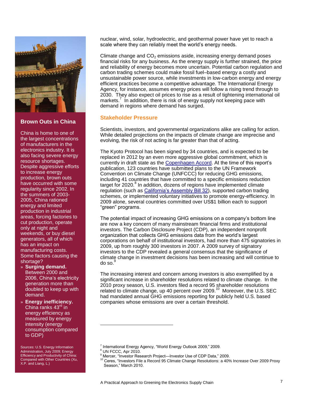

#### **Brown Outs in China**

China is home to one of the largest concentrations of manufacturers in the electronics industry. It is also facing severe energy resource shortages. Despite aggressive efforts to increase energy production, brown outs have occurred with some regularity since 2002. In the summers of 2003- 2005, China rationed energy and limited production in industrial areas, forcing factories to cut production, operate only at night and weekends, or buy diesel generators, all of which has an impact on manufacturing costs. Some factors causing the shortage?

- » **Surging demand.**  Between 2000 and 2006, China's electricity generation more than doubled to keep up with demand.
- » **Energy inefficiency.**  China ranks 43<sup>rd</sup> in energy efficiency as measured by energy intensity (energy consumption compared to GDP)

Sources: U.S. Energy Information Administration, July 2009; Energy Efficiency and Productivity of China: Compared with Other Countries (Xu, X.P. and Liang, L.)

nuclear, wind, solar, hydroelectric, and geothermal power have yet to reach a scale where they can reliably meet the world's energy needs.

Climate change and  $CO<sub>2</sub>$  emissions aside, increasing energy demand poses financial risks for any business. As the energy supply is further strained, the price and reliability of energy becomes more uncertain. Potential carbon regulation and carbon trading schemes could make fossil fuel–based energy a costly and unsustainable power source, while investments in low-carbon energy and energy efficient practices become a competitive advantage. The International Energy Agency, for instance, assumes energy prices will follow a rising trend through to 2030. They also expect oil prices to rise as a result of tightening international oil markets.<sup>7</sup> In addition, there is risk of energy supply not keeping pace with demand in regions where demand has surged.

#### **Stakeholder Pressure**

Scientists, investors, and governmental organizations alike are calling for action. While detailed projections on the impacts of climate change are imprecise and evolving, the risk of not acting is far greater than that of acting.

The Kyoto Protocol has been signed by 34 countries, and is expected to be replaced in 2012 by an even more aggressive global commitment, which is currently in draft state as the [Copenhagen Accord.](http://unfccc.int/files/meetings/cop_15/application/pdf/cop15_cph_auv.pdf) At the time of this report's publication, 123 countries have submitted plans to the UN Framework Convention on Climate Change (UNFCCC) for reducing GHG emissions, including 41 countries that have committed to a specific emissions reduction target for 2020.<sup>8</sup> In addition, dozens of regions have implemented climate regulation (such as [California's Assembly Bill 32\)](http://www.arb.ca.gov/cc/docs/ab32text.pdf), supported carbon trading schemes, or implemented voluntary initiatives to promote energy-efficiency. In 2009 alone, several countries committed over US\$1 billion each to support ―green‖ programs.

The potential impact of increasing GHG emissions on a company's bottom line are now a key concern of many mainstream financial firms and institutional investors. The Carbon Disclosure Project (CDP), an independent nonprofit organization that collects GHG emissions data from the world's largest corporations on behalf of institutional investors, had more than 475 signatories in 2009, up from roughly 300 investors in 2007. A 2009 survey of signatory investors to the CDP revealed a general consensus that the significance of climate change in investment decisions has been increasing and will continue to do so. $<sup>9</sup>$ </sup>

The increasing interest and concern among investors is also exemplified by a significant increase in shareholder resolutions related to climate change. In the 2010 proxy season, U.S. investors filed a record 95 shareholder resolutions related to climate change, up 40 percent over 2009.<sup>10</sup> Moreover, the U.S. SEC had mandated annual GHG emissions reporting for publicly held U.S. based companies whose emissions are over a certain threshold.

l

<sup>&</sup>lt;sup>7</sup> International Energy Agency, "World Energy Outlook 2009," 2009.

 $8$  UN FCCC, Apr 2010.

<sup>&</sup>lt;sup>9</sup> Mercer, "Investor Research Project—Investor Use of CDP Data," 2009.

<sup>10</sup> Ceres, "Investors File a Record 95 Climate Change Resolutions: a 40% Increase Over 2009 Proxy Season," March 2010.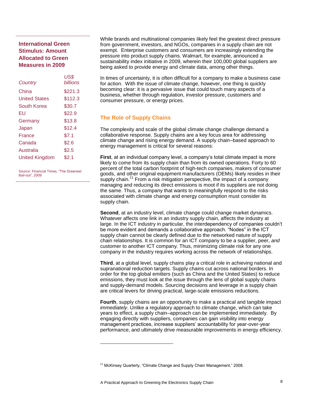## **International Green Stimulus: Amount Allocated to Green Measures in 2009**

| Country               | US\$<br><b>billions</b> |
|-----------------------|-------------------------|
| China                 | \$221.3                 |
| <b>United States</b>  | \$112.3                 |
| South Korea           | \$30.7                  |
| EU                    | \$22.9                  |
| Germany               | \$13.8                  |
| Japan                 | \$12.4                  |
| France                | \$7.1                   |
| Canada                | \$2.6                   |
| Australia             | \$2.5                   |
| <b>United Kingdom</b> | \$2.1                   |
|                       |                         |

Source: Financial Times, "The Greenest Bail-out", 2009

While brands and multinational companies likely feel the greatest direct pressure from government, investors, and NGOs, companies in a supply chain are not exempt. Enterprise customers and consumers are increasingly extending the pressure into product supply chains. Walmart, for example, announced a sustainability index initiative in 2009, wherein their 100,000 global suppliers are being asked to provide energy and climate data, among other things.

In times of uncertainty, it is often difficult for a company to make a business case for action. With the issue of climate change, however, one thing is quickly becoming clear: it is a pervasive issue that could touch many aspects of a business, whether through regulation, investor pressure, customers and consumer pressure, or energy prices.

#### **The Role of Supply Chains**

The complexity and scale of the global climate change challenge demand a collaborative response. Supply chains are a key focus area for addressing climate change and rising energy demand. A supply chain–based approach to energy management is critical for several reasons:

**First**, at an individual company level, a company's total climate impact is more likely to come from its supply chain than from its owned operations. Forty to 60 percent of the total carbon footprint of high-tech companies, makers of consumer goods, and other original equipment manufacturers (OEMs) likely resides in their supply chain.<sup>11</sup> From a risk mitigation perspective, the impact of a company managing and reducing its direct emissions is moot if its suppliers are not doing the same. Thus, a company that wants to meaningfully respond to the risks associated with climate change and energy consumption must consider its supply chain.

**Second**, at an industry level, climate change could change market dynamics. Whatever affects one link in an industry supply chain, affects the industry at large. In the ICT industry in particular, the interdependency of companies couldn't be more evident and demands a collaborative approach. "Nodes" in the ICT supply chain cannot be clearly defined due to the networked nature of supply chain relationships. It is common for an ICT company to be a supplier, peer, *and* customer to another ICT company. Thus, minimizing climate risk for any one company in the industry requires working across the network of relationships.

**Third**, at a global level, supply chains play a critical role in achieving national and supranational reduction targets. Supply chains cut across national borders. In order for the top global emitters (such as China and the United States) to reduce emissions, they must look at the issue through the lens of global supply chains and supply-demand models. Sourcing decisions and leverage in a supply chain are critical levers for driving practical, large-scale emissions reductions.

**Fourth**, supply chains are an opportunity to make a practical and tangible impact *immediately*. Unlike a regulatory approach to climate change, which can take years to effect, a supply chain–approach can be implemented immediately. By engaging directly with suppliers, companies can gain visibility into energy management practices, increase suppliers' accountability for year-over-year performance, and ultimately drive measurable improvements in energy efficiency.

l

 $11$  McKinsey Quarterly, "Climate Change and Supply Chain Management," 2008.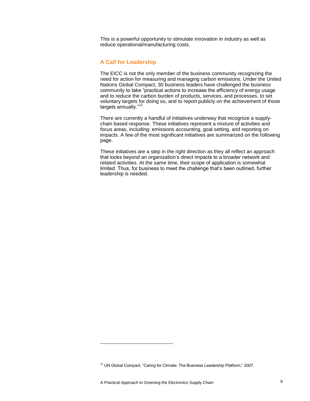This is a powerful opportunity to stimulate innovation in industry as well as reduce operational/manufacturing costs.

#### **A Call for Leadership**

The EICC is not the only member of the business community recognizing the need for action for measuring and managing carbon emissions. Under the United Nations Global Compact, 30 business leaders have challenged the business community to take "practical actions to increase the efficiency of energy usage and to reduce the carbon burden of products, services, and processes, to set voluntary targets for doing so, and to report publicly on the achievement of those targets annually."<sup>12</sup>

There are currently a handful of initiatives underway that recognize a supplychain based response. These initiatives represent a mixture of activities and focus areas, including: emissions accounting, goal setting, and reporting on impacts. A few of the most significant initiatives are summarized on the following page.

These initiatives are a step in the right direction as they all reflect an approach that looks beyond an organization's direct impacts to a broader network and related activities. At the same time, their scope of application is somewhat limited. Thus, for business to meet the challenge that's been outlined, further leadership is needed.

l

 $12$  UN Global Compact, "Caring for Climate: The Business Leadership Platform," 2007.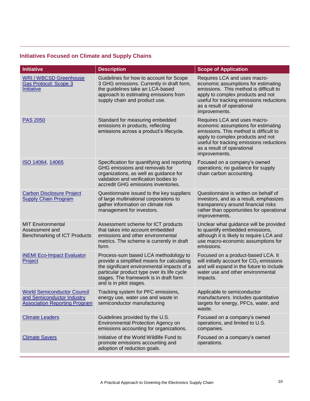## **Initiatives Focused on Climate and Supply Chains**

| <b>Initiative</b>                                                                                        | <b>Description</b>                                                                                                                                                                                                                                   | <b>Scope of Application</b>                                                                                                                                                                                                                   |
|----------------------------------------------------------------------------------------------------------|------------------------------------------------------------------------------------------------------------------------------------------------------------------------------------------------------------------------------------------------------|-----------------------------------------------------------------------------------------------------------------------------------------------------------------------------------------------------------------------------------------------|
| <b>WRI / WBCSD Greenhouse</b><br><b>Gas Protocol: Scope 3</b><br>Initiative                              | Guidelines for how to account for Scope<br>3 GHG emissions. Currently in draft form,<br>the guidelines take an LCA-based<br>approach to estimating emissions from<br>supply chain and product use.                                                   | Requires LCA and uses macro-<br>economic assumptions for estimating<br>emissions. This method is difficult to<br>apply to complex products and not<br>useful for tracking emissions reductions<br>as a result of operational<br>improvements. |
| <b>PAS 2050</b>                                                                                          | Standard for measuring embedded<br>emissions in products, reflecting<br>emissions across a product's lifecycle.                                                                                                                                      | Requires LCA and uses macro-<br>economic assumptions for estimating<br>emissions. This method is difficult to<br>apply to complex products and not<br>useful for tracking emissions reductions<br>as a result of operational<br>improvements. |
| ISO 14064, 14065                                                                                         | Specification for quantifying and reporting<br>GHG emissions and removals for<br>organizations, as well as guidance for<br>validation and verification bodies to<br>accredit GHG emissions inventories.                                              | Focused on a company's owned<br>operations; no guidance for supply<br>chain carbon accounting.                                                                                                                                                |
| <b>Carbon Disclosure Project</b><br><b>Supply Chain Program</b>                                          | Questionnaire issued to the key suppliers<br>of large multinational corporations to<br>gather information on climate risk<br>management for investors.                                                                                               | Questionnaire is written on behalf of<br>investors, and as a result, emphasizes<br>transparency around financial risks<br>rather than opportunities for operational<br>improvements.                                                          |
| <b>MIT Environmental</b><br>Assessment and<br><b>Benchmarking of ICT Products</b>                        | Assessment scheme for ICT products<br>that takes into account embedded<br>emissions and other environmental<br>metrics. The scheme is currently in draft<br>form.                                                                                    | Unclear what guidance will be provided<br>to quantify embedded emissions,<br>although it is likely to require LCA and<br>use macro-economic assumptions for<br>emissions.                                                                     |
| <b>iNEMI Eco-Impact Evaluator</b><br>Project                                                             | Process-sum based LCA methodology to<br>provide a simplified means for calculating<br>the significant environmental impacts of a<br>particular product type over its life cycle<br>stages. The framework is in draft form<br>and is in pilot stages. | Focused on a product-based LCA. It<br>will initially account for $CO2$ emissions<br>and will expand in the future to include<br>water use and other environmental<br>impacts.                                                                 |
| <b>World Semiconductor Council</b><br>and Semiconductor Industry<br><b>Association Reporting Program</b> | Tracking system for PFC emissions,<br>energy use, water use and waste in<br>semiconductor manufacturing                                                                                                                                              | Applicable to semiconductor<br>manufacturers. Includes quantitative<br>targets for energy, PFCs, water, and<br>waste.                                                                                                                         |
| <b>Climate Leaders</b>                                                                                   | Guidelines provided by the U.S.<br>Environmental Protection Agency on<br>emissions accounting for organizations.                                                                                                                                     | Focused on a company's owned<br>operations, and limited to U.S.<br>companies.                                                                                                                                                                 |
| <b>Climate Savers</b>                                                                                    | Initiative of the World Wildlife Fund to<br>promote emissions accounting and<br>adoption of reduction goals.                                                                                                                                         | Focused on a company's owned<br>operations.                                                                                                                                                                                                   |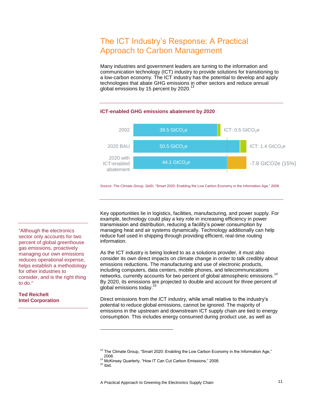# The ICT Industry's Response: A Practical Approach to Carbon Management

Many industries and government leaders are turning to the information and communication technology (ICT) industry to provide solutions for transitioning to a low-carbon economy. The ICT industry has the potential to develop and apply technologies that abate GHG emissions in other sectors and reduce annual global emissions by 15 percent by 2020.<sup>13</sup>



Source: The Climate Group, GeSI, "Smart 2020: Enabling the Low Carbon Economy in the Information Age," 2008.

Key opportunities lie in logistics, facilities, manufacturing, and power supply. For example, technology could play a key role in increasing efficiency in power transmission and distribution, reducing a facility's power consumption by managing heat and air systems dynamically. Technology additionally can help reduce fuel used in shipping through providing efficient, real-time routing information.

As the ICT industry is being looked to as a solutions provider, it must also consider its own direct impacts on climate change in order to talk credibly about emissions reductions. The manufacturing and use of electronic products, including computers, data centers, mobile phones, and telecommunications networks, currently accounts for two percent of global atmospheric emissions.<sup>14</sup> By 2020, its emissions are projected to double and account for three percent of global emissions today. $1$ 

Direct emissions from the ICT industry, while small relative to the industry's potential to reduce global emissions, cannot be ignored. The majority of emissions in the upstream and downstream ICT supply chain are tied to energy consumption. This includes energy consumed during product use, as well as

l

"Although the electronics sector only accounts for two percent of global greenhouse gas emissions, proactively managing our own emissions reduces operational expense, helps establish a methodology for other industries to consider, and is the right thing to do."

**Ted Reichelt Intel Corporation**

<sup>&</sup>lt;sup>13</sup> The Climate Group, "Smart 2020: Enabling the Low Carbon Economy in the Information Age," 2008.

<sup>&</sup>lt;sup>14</sup> McKinsey Quarterly, "How IT Can Cut Carbon Emissions," 2008.

 $15$  Ibid.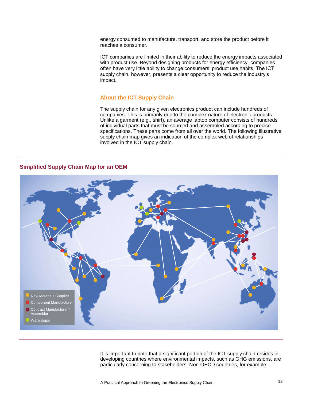energy consumed to manufacture, transport, and store the product before it reaches a consumer.

ICT companies are limited in their ability to reduce the energy impacts associated with product use. Beyond designing products for energy efficiency, companies often have very little ability to change consumers' product use habits. The ICT supply chain, however, presents a clear opportunity to reduce the industry's impact.

#### **About the ICT Supply Chain**

The supply chain for any given electronics product can include hundreds of companies. This is primarily due to the complex nature of electronic products. Unlike a garment (e.g., shirt), an average laptop computer consists of hundreds of individual parts that must be sourced and assembled according to precise specifications. These parts come from all over the world. The following illustrative supply chain map gives an indication of the complex web of relationships involved in the ICT supply chain.

#### **Simplified Supply Chain Map for an OEM**



It is important to note that a significant portion of the ICT supply chain resides in developing countries where environmental impacts, such as GHG emissions, are particularly concerning to stakeholders. Non-OECD countries, for example,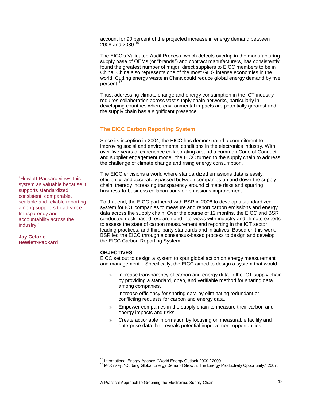account for 90 percent of the projected increase in energy demand between 2008 and 2030.<sup>16</sup>

The EICC's Validated Audit Process, which detects overlap in the manufacturing supply base of OEMs (or "brands") and contract manufacturers, has consistently found the greatest number of major, direct suppliers to EICC members to be in China. China also represents one of the most GHG intense economies in the world. Cutting energy waste in China could reduce global energy demand by five percent.<sup>1</sup>

Thus, addressing climate change and energy consumption in the ICT industry requires collaboration across vast supply chain networks, particularly in developing countries where environmental impacts are potentially greatest and the supply chain has a significant presence.

### **The EICC Carbon Reporting System**

Since its inception in 2004, the EICC has demonstrated a commitment to improving social and environmental conditions in the electronics industry. With over five years of experience collaborating around a common Code of Conduct and supplier engagement model, the EICC turned to the supply chain to address the challenge of climate change and rising energy consumption.

The EICC envisions a world where standardized emissions data is easily, efficiently, and accurately passed between companies up and down the supply chain, thereby increasing transparency around climate risks and spurring business-to-business collaborations on emissions improvement.

To that end, the EICC partnered with BSR in 2008 to develop a standardized system for ICT companies to measure and report carbon emissions and energy data across the supply chain. Over the course of 12 months, the EICC and BSR conducted desk-based research and interviews with industry and climate experts to assess the state of carbon measurement and reporting in the ICT sector, leading practices, and third-party standards and initiatives. Based on this work, BSR led the EICC through a consensus-based process to design and develop the EICC Carbon Reporting System.

#### **OBJECTIVES**

l

EICC set out to design a system to spur global action on energy measurement and management. Specifically, the EICC aimed to design a system that would:

- » Increase transparency of carbon and energy data in the ICT supply chain by providing a standard, open, and verifiable method for sharing data among companies.
- » Increase efficiency for sharing data by eliminating redundant or conflicting requests for carbon and energy data.
- » Empower companies in the supply chain to measure their carbon and energy impacts and risks.
- » Create actionable information by focusing on measurable facility and enterprise data that reveals potential improvement opportunities.

"Hewlett-Packard views this system as valuable because it supports standardized, consistent, comparable, scalable and reliable reporting among suppliers to advance transparency and accountability across the industry."

**Jay Celorie Hewlett-Packard**

<sup>&</sup>lt;sup>16</sup> International Energy Agency, "World Energy Outlook 2009," 2009.

<sup>&</sup>lt;sup>17</sup> McKinsey, "Curbing Global Energy Demand Growth: The Energy Productivity Opportunity," 2007.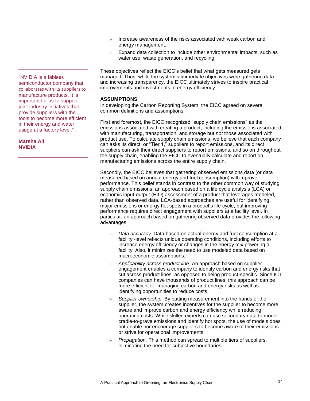- » Increase awareness of the risks associated with weak carbon and energy management.
- » Expand data collection to include other environmental impacts, such as water use, waste generation, and recycling.

These objectives reflect the EICC's belief that what gets measured gets managed. Thus, while the system's immediate objectives were gathering data and increasing transparency, the EICC ultimately strives to inspire practical improvements and investments in energy efficiency.

#### **ASSUMPTIONS**

In developing the Carbon Reporting System, the EICC agreed on several common definitions and assumptions.

First and foremost, the EICC recognized "supply chain emissions" as the emissions associated with creating a product, including the emissions associated with manufacturing, transportation, and storage but *not* those associated with product use. To calculate supply chain emissions, we believe that each company can asks its direct, or "Tier 1," suppliers to report emissions, and its direct suppliers can ask their direct suppliers to report emissions, and so on throughout the supply chain, enabling the EICC to eventually calculate and report on manufacturing emissions across the entire supply chain.

Secondly, the EICC believes that gathering observed emissions data (or data measured based on annual energy and fuel consumption) will improve performance. This belief stands in contrast to the other common way of studying supply chain emissions: an approach based on a life cycle analysis (LCA) or economic input-output (EIO) assessment of a product that leverages modeled, rather than observed data. LCA-based approaches are useful for identifying major emissions or energy hot spots in a product's life cycle, but improving performance requires direct engagement with suppliers at a facility level. In particular, an approach based on gathering observed data provides the following advantages:

- » *Data accuracy.* Data based on actual energy and fuel consumption at a facility -level reflects unique operating conditions, including efforts to increase energy efficiency or changes in the energy mix powering a facility. Also, it minimizes the need to use modeled data based on macroeconomic assumptions.
- » *Applicability across product line.* An approach based on supplier engagement enables a company to identify carbon and energy risks that cut across product lines, as opposed to being product-specific. Since ICT companies can have thousands of product lines, this approach can be more efficient for managing carbon and energy risks as well as identifying opportunities to reduce costs.
- » *Supplier ownership.* By putting measurement into the hands of the supplier, the system creates incentives for the supplier to become more aware and improve carbon and energy efficiency while reducing operating costs. While skilled experts can use secondary data to model cradle-to-grave emissions and identify hot spots, the use of models does not enable nor encourage suppliers to become aware of their emissions or strive for operational improvements.
- » *Propagation.* This method can spread to multiple tiers of suppliers, eliminating the need for subjective boundaries.

―NVIDIA is a fabless semiconductor company that collaborates with its suppliers to manufacture products. It is important for us to support joint industry initiatives that provide suppliers with the tools to become more efficient in their energy and water usage at a factory level."

**Marsha Ali NVIDIA**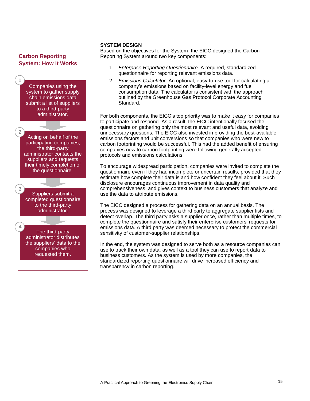## **Carbon Reporting System: How It Works**



#### **SYSTEM DESIGN**

Based on the objectives for the System, the EICC designed the Carbon Reporting System around two key components:

- 1. *Enterprise Reporting Questionnaire.* A required, standardized questionnaire for reporting relevant emissions data.
- 2. *Emissions Calculator.* An optional, easy-to-use tool for calculating a company's emissions based on facility-level energy and fuel consumption data. The calculator is consistent with the approach outlined by the Greenhouse Gas Protocol Corporate Accounting Standard.

For both components, the EICC's top priority was to make it easy for companies to participate and respond. As a result, the EICC intentionally focused the questionnaire on gathering only the most relevant and useful data, avoiding unnecessary questions. The EICC also invested in providing the best-available emissions factors and unit conversions so that companies who were new to carbon footprinting would be successful. This had the added benefit of ensuring companies new to carbon footprinting were following generally accepted protocols and emissions calculations.

To encourage widespread participation, companies were invited to complete the questionnaire even if they had incomplete or uncertain results, provided that they estimate how complete their data is and how confident they feel about it. Such disclosure encourages continuous improvement in data quality and comprehensiveness, and gives context to business customers that analyze and use the data to attribute emissions.

The EICC designed a process for gathering data on an annual basis. The process was designed to leverage a third party to aggregate supplier lists and detect overlap. The third party asks a supplier once, rather than multiple times, to complete the questionnaire and satisfy their enterprise customers' requests for emissions data. A third party was deemed necessary to protect the commercial sensitivity of customer-supplier relationships.

In the end, the system was designed to serve both as a resource companies can use to track their own data, as well as a tool they can use to report data to business customers. As the system is used by more companies, the standardized reporting questionnaire will drive increased efficiency and transparency in carbon reporting.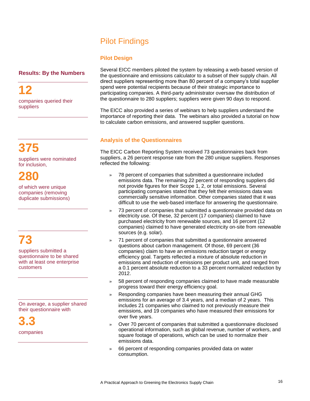# Pilot Findings

## **Pilot Design**

## **Results: By the Numbers**

**12** companies queried their suppliers

**375** 

suppliers were nominated for inclusion,

**280** 

of which were unique companies (removing duplicate submissions)

# **73**

suppliers submitted a questionnaire to be shared with at least one enterprise customers

On average, a supplier shared their questionnaire with

**3.3**  companies Several EICC members piloted the system by releasing a web-based version of the questionnaire and emissions calculator to a subset of their supply chain. All direct suppliers representing more than 80 percent of a company's total supplier spend were potential recipients because of their strategic importance to participating companies. A third-party administrator oversaw the distribution of the questionnaire to 280 suppliers; suppliers were given 90 days to respond.

The EICC also provided a series of webinars to help suppliers understand the importance of reporting their data. The webinars also provided a tutorial on how to calculate carbon emissions, and answered supplier questions.

## **Analysis of the Questionnaires**

The EICC Carbon Reporting System received 73 questionnaires back from suppliers, a 26 percent response rate from the 280 unique suppliers. Responses reflected the following:

- » 78 percent of companies that submitted a questionnaire included emissions data. The remaining 22 percent of responding suppliers did not provide figures for their Scope 1, 2, or total emissions. Several participating companies stated that they felt their emissions data was commercially sensitive information. Other companies stated that it was difficult to use the web-based interface for answering the questionnaire.
- » 73 percent of companies that submitted a questionnaire provided data on electricity use. Of these, 32 percent (17 companies) claimed to have purchased electricity from renewable sources, and 16 percent (12 companies) claimed to have generated electricity on-site from renewable sources (e.g. solar).
- » 71 percent of companies that submitted a questionnaire answered questions about carbon management. Of those, 69 percent (36 companies) claim to have an emissions reduction target or energy efficiency goal. Targets reflected a mixture of absolute reduction in emissions and reduction of emissions per product unit, and ranged from a 0.1 percent absolute reduction to a 33 percent normalized reduction by 2012.
- » 58 percent of responding companies claimed to have made measurable progress toward their energy efficiency goal.
- » Responding companies have been measuring their annual GHG emissions for an average of 3.4 years, and a median of 2 years. This includes 21 companies who claimed to not previously measure their emissions, and 19 companies who have measured their emissions for over five years.
- » Over 70 percent of companies that submitted a questionnaire disclosed operational information, such as global revenue, number of workers, and square footage of operations, which can be used to normalize their emissions data.
- » 66 percent of responding companies provided data on water consumption.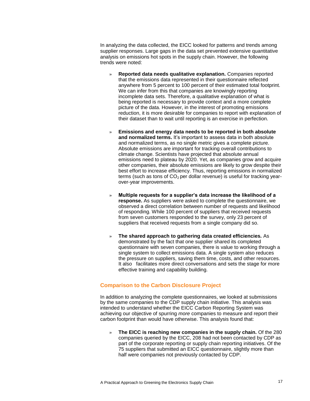In analyzing the data collected, the EICC looked for patterns and trends among supplier responses. Large gaps in the data set prevented extensive quantitative analysis on emissions hot spots in the supply chain. However, the following trends were noted:

- » **Reported data needs qualitative explanation.** Companies reported that the emissions data represented in their questionnaire reflected anywhere from 5 percent to 100 percent of their estimated total footprint. We can infer from this that companies are knowingly reporting incomplete data sets. Therefore, a qualitative explanation of what is being reported is necessary to provide context and a more complete picture of the data. However, in the interest of promoting emissions reduction, it is more desirable for companies to report with explanation of their dataset than to wait until reporting is an exercise in perfection.
- » **Emissions and energy data needs to be reported in both absolute**  and normalized terms. It's important to assess data in both absolute and normalized terms, as no single metric gives a complete picture. Absolute emissions are important for tracking overall contributions to climate change. Scientists have projected that absolute annual emissions need to plateau by 2020. Yet, as companies grow and acquire other companies, their absolute emissions are likely to grow despite their best effort to increase efficiency. Thus, reporting emissions in normalized terms (such as tons of  $CO<sub>2</sub>$  per dollar revenue) is useful for tracking yearover-year improvements.
- » **Multiple requests for a supplier's data increase the likelihood of a response.** As suppliers were asked to complete the questionnaire, we observed a direct correlation between number of requests and likelihood of responding. While 100 percent of suppliers that received requests from seven customers responded to the survey, only 23 percent of suppliers that received requests from a single company did so.
- » **The shared approach to gathering data created efficiencies.** As demonstrated by the fact that one supplier shared its completed questionnaire with seven companies, there is value to working through a single system to collect emissions data. A single system also reduces the pressure on suppliers, saving them time, costs, and other resources. It also facilitates more direct conversations and sets the stage for more effective training and capability building.

#### **Comparison to the Carbon Disclosure Project**

In addition to analyzing the complete questionnaires, we looked at submissions by the same companies to the CDP supply chain initiative. This analysis was intended to understand whether the EICC Carbon Reporting System was achieving our objective of spurring *more* companies to measure and report their carbon footprint than would have otherwise. This analysis found that:

» **The EICC is reaching new companies in the supply chain.** Of the 280 companies queried by the EICC, 208 had not been contacted by CDP as part of the corporate reporting or supply chain reporting initiatives. Of the 75 suppliers that submitted an EICC questionnaire, slightly more than half were companies not previously contacted by CDP.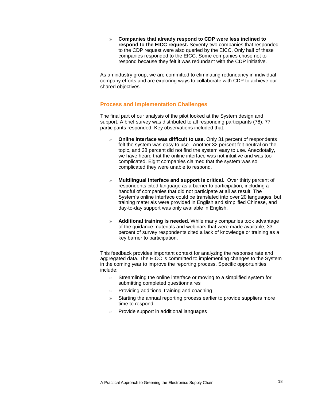» **Companies that already respond to CDP were less inclined to respond to the EICC request.** Seventy-two companies that responded to the CDP request were also queried by the EICC. Only half of these companies responded to the EICC. Some companies chose not to respond because they felt it was redundant with the CDP initiative.

As an industry group, we are committed to eliminating redundancy in individual company efforts and are exploring ways to collaborate with CDP to achieve our shared objectives.

#### **Process and Implementation Challenges**

The final part of our analysis of the pilot looked at the System design and support. A brief survey was distributed to all responding participants (78); 77 participants responded. Key observations included that:

- » **Online interface was difficult to use.** Only 31 percent of respondents felt the system was easy to use. Another 32 percent felt neutral on the topic, and 38 percent did not find the system easy to use. Anecdotally, we have heard that the online interface was not intuitive and was too complicated. Eight companies claimed that the system was so complicated they were unable to respond.
- » **Multilingual interface and support is critical.** Over thirty percent of respondents cited language as a barrier to participation, including a handful of companies that did not participate at all as result. The System's online interface could be translated into over 20 languages, but training materials were provided in English and simplified Chinese, and day-to-day support was only available in English.
- » **Additional training is needed.** While many companies took advantage of the guidance materials and webinars that were made available, 33 percent of survey respondents cited a lack of knowledge or training as a key barrier to participation.

This feedback provides important context for analyzing the response rate and aggregated data. The EICC is committed to implementing changes to the System in the coming year to improve the reporting process. Specific opportunities include:

- Streamlining the online interface or moving to a simplified system for submitting completed questionnaires
- » Providing additional training and coaching
- » Starting the annual reporting process earlier to provide suppliers more time to respond
- » Provide support in additional languages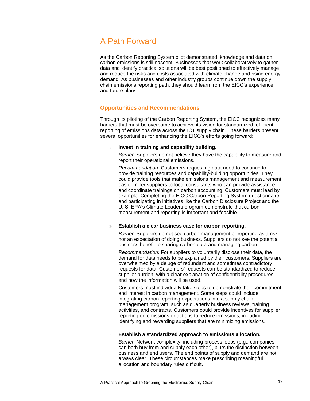# A Path Forward

As the Carbon Reporting System pilot demonstrated, knowledge and data on carbon emissions is still nascent. Businesses that work collaboratively to gather data and identify practical solutions will be best positioned to effectively manage and reduce the risks and costs associated with climate change and rising energy demand. As businesses and other industry groups continue down the supply chain emissions reporting path, they should learn from the EICC's experience and future plans.

#### **Opportunities and Recommendations**

Through its piloting of the Carbon Reporting System, the EICC recognizes many barriers that must be overcome to achieve its vision for standardized, efficient reporting of emissions data across the ICT supply chain. These barriers present several opportunities for enhancing the EICC's efforts going forward:

#### » **Invest in training and capability building.**

*Barrier:* Suppliers do not believe they have the capability to measure and report their operational emissions.

*Recommendation:* Customers requesting data need to continue to provide training resources and capability-building opportunities. They could provide tools that make emissions management and measurement easier, refer suppliers to local consultants who can provide assistance, and coordinate trainings on carbon accounting. Customers must lead by example. Completing the EICC Carbon Reporting System questionnaire and participating in initiatives like the Carbon Disclosure Project and the U. S. EPA's Climate Leaders program demonstrate that carbon measurement and reporting is important and feasible.

#### » **Establish a clear business case for carbon reporting.**

*Barrier:* Suppliers do not see carbon management or reporting as a risk nor an expectation of doing business. Suppliers do not see the potential business benefit to sharing carbon data and managing carbon.

*Recommendation:* For suppliers to voluntarily disclose their data, the demand for data needs to be explained by their customers. Suppliers are overwhelmed by a deluge of redundant and sometimes contradictory requests for data. Customers' requests can be standardized to reduce supplier burden, with a clear explanation of confidentiality procedures and how the information will be used.

Customers must individually take steps to demonstrate their commitment and interest in carbon management. Some steps could include integrating carbon reporting expectations into a supply chain management program, such as quarterly business reviews, training activities, and contracts. Customers could provide incentives for supplier reporting on emissions or actions to reduce emissions, including identifying and rewarding suppliers that are minimizing emissions.

#### » **Establish a standardized approach to emissions allocation.**

*Barrier:* Network complexity, including process loops (e.g., companies can both buy from and supply each other), blurs the distinction between business and end users. The end points of supply and demand are not always clear. These circumstances make prescribing meaningful allocation and boundary rules difficult.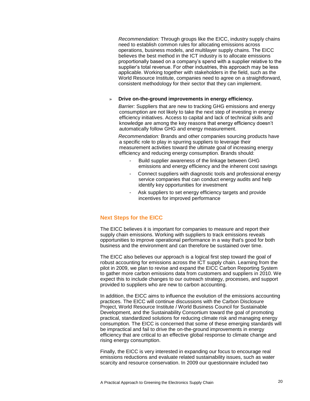*Recommendation:* Through groups like the EICC, industry supply chains need to establish common rules for allocating emissions across operations, business models, and multilayer supply chains. The EICC believes the best method in the ICT industry is to allocate emissions proportionally based on a company's spend with a supplier relative to the supplier's total revenue. For other industries, this approach may be less applicable. Working together with stakeholders in the field, such as the World Resource Institute, companies need to agree on a straightforward, consistent methodology for their sector that they can implement.

#### » **Drive on-the-ground improvements in energy efficiency.**

*Barrier:* Suppliers that are new to tracking GHG emissions and energy consumption are not likely to take the next step of investing in energy efficiency initiatives. Access to capital and lack of technical skills and knowledge are among the key reasons that energy efficiency doesn't automatically follow GHG and energy measurement.

*Recommendation:* Brands and other companies sourcing products have a specific role to play in spurring suppliers to leverage their measurement activities toward the ultimate goal of increasing energy efficiency and reducing energy consumption. Brands should:

- *-* Build supplier awareness of the linkage between GHG emissions and energy efficiency and the inherent cost savings
- *-* Connect suppliers with diagnostic tools and professional energy service companies that can conduct energy audits and help identify key opportunities for investment
- Ask suppliers to set energy efficiency targets and provide incentives for improved performance

#### **Next Steps for the EICC**

The EICC believes it is important for companies to measure and report their supply chain emissions. Working with suppliers to track emissions reveals opportunities to improve operational performance in a way that's good for both business and the environment and can therefore be sustained over time.

The EICC also believes our approach is a logical first step toward the goal of robust accounting for emissions across the ICT supply chain. Learning from the pilot in 2009, we plan to revise and expand the EICC Carbon Reporting System to gather more carbon emissions data from customers and suppliers in 2010. We expect this to include changes to our outreach strategy, processes, and support provided to suppliers who are new to carbon accounting.

In addition, the EICC aims to influence the evolution of the emissions accounting practices. The EICC will continue discussions with the Carbon Disclosure Project, World Resource Institute / World Business Council for Sustainable Development, and the Sustainability Consortium toward the goal of promoting practical, standardized solutions for reducing climate risk and managing energy consumption. The EICC is concerned that some of these emerging standards will be impractical and fail to drive the on-the-ground improvements in energy efficiency that are critical to an effective global response to climate change and rising energy consumption.

Finally, the EICC is very interested in expanding our focus to encourage real emissions reductions and evaluate related sustainability issues, such as water scarcity and resource conservation. In 2009 our questionnaire included two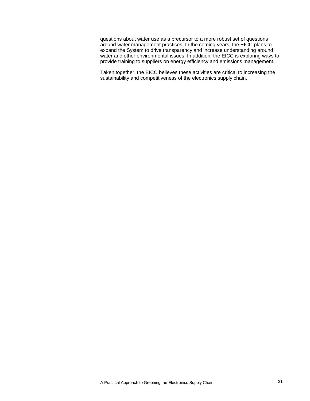questions about water use as a precursor to a more robust set of questions around water management practices. In the coming years, the EICC plans to expand the System to drive transparency and increase understanding around water and other environmental issues. In addition, the EICC is exploring ways to provide training to suppliers on energy efficiency and emissions management.

Taken together, the EICC believes these activities are critical to increasing the sustainability and competitiveness of the electronics supply chain.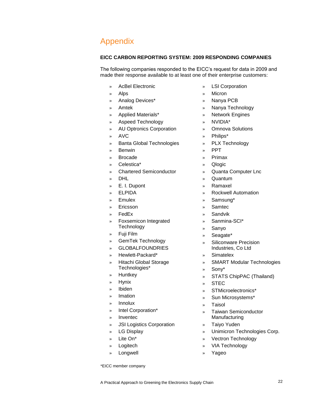# Appendix

#### **EICC CARBON REPORTING SYSTEM: 2009 RESPONDING COMPANIES**

The following companies responded to the EICC's request for data in 2009 and made their response available to at least one of their enterprise customers:

- » AcBel Electronic
- » Alps
- » Analog Devices\*
- » Amtek
- » Applied Materials\*
- » Aspeed Technology
- » AU Optronics Corporation
- » AVC
- » Banta Global Technologies
- » Benwin
- » Brocade
- » Celestica\*
- » Chartered Semiconductor
- » DHL
- » E. I. Dupont
- » ELPIDA
- » Emulex
- **Ericsson**
- » FedEx
- » Foxsemicon Integrated **Technology**
- » Fuji Film
- » GemTek Technology
- » GLOBALFOUNDRIES
- » Hewlett-Packard\*
- » Hitachi Global Storage Technologies\*
- » Huntkey
- » Hynix
- » Ibiden
- » Imation
- » Innolux
- » Intel Corporation\*
- » Inventec
- » JSI Logistics Corporation
- » LG Display
- » Lite On\*
- » Logitech
- » Longwell
- \*EICC member company
- » LSI Corporation
- » Micron
- » Nanya PCB
- » Nanya Technology
- » Network Engines
- » NVIDIA\*
- » Omnova Solutions
- » Philips\*
- » PLX Technology
- » PPT
- » Primax
- » Qlogic
- » Quanta Computer Lnc
- » Quantum
- » Ramaxel
- » Rockwell Automation
- » Samsung\*
- » Samtec
- » Sandvik
- » Sanmina-SCI\*
- » Sanyo
- » Seagate\*
- » Siliconware Precision Industries, Co Ltd
- » Simatelex
- » SMART Modular Technologies
- » Sony\*
- » STATS ChipPAC (Thailand)
- » STEC
- » STMicroelectronics\*
- » Sun Microsystems\*
- » Taisol
- » Taiwan Semiconductor Manufacturing
- » Taiyo Yuden
- » Unimicron Technologies Corp.
- » Vectron Technology
- » VIA Technology
- » Yageo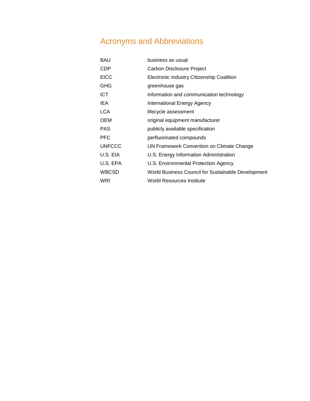# Acronyms and Abbreviations

| <b>BAU</b>    | business as usual                                  |
|---------------|----------------------------------------------------|
| <b>CDP</b>    | Carbon Disclosure Project                          |
| <b>EICC</b>   | Electronic Industry Citizenship Coalition          |
| <b>GHG</b>    | greenhouse gas                                     |
| <b>ICT</b>    | information and communication technology           |
| IEA.          | International Energy Agency                        |
| <b>LCA</b>    | lifecycle assessment                               |
| <b>OEM</b>    | original equipment manufacturer                    |
| <b>PAS</b>    | publicly available specification                   |
| <b>PFC</b>    | perfluorinated compounds                           |
| <b>UNFCCC</b> | UN Framework Convention on Climate Change          |
| U.S. EIA      | U.S. Energy Information Administration             |
| U.S. EPA      | U.S. Environmental Protection Agency               |
| <b>WBCSD</b>  | World Business Council for Sustainable Development |
| WRI           | World Resources Institute                          |
|               |                                                    |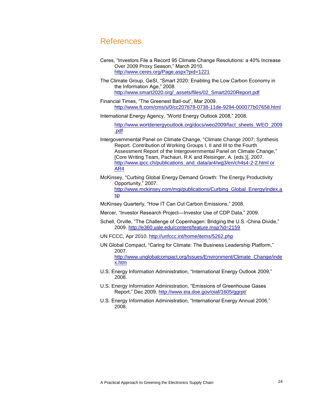## References

- Ceres, "Investors File a Record 95 Climate Change Resolutions: a 40% Increase Over 2009 Proxy Season," March 2010. <http://www.ceres.org/Page.aspx?pid=1221>
- The Climate Group, GeSI, "Smart 2020: Enabling the Low Carbon Economy in the Information Age," 2008. [http://www.smart2020.org/\\_assets/files/02\\_Smart2020Report.pdf](http://www.smart2020.org/_assets/files/02_Smart2020Report.pdf)
- Financial Times, "The Greenest Bail-out", Mar 2009. <http://www.ft.com/cms/s/0/cc207678-0738-11de-9294-000077b07658.html>
- International Energy Agency, "World Energy Outlook 2008," 2008.

[http://www.worldenergyoutlook.org/docs/weo2009/fact\\_sheets\\_WEO\\_2009](http://www.worldenergyoutlook.org/docs/weo2009/fact_sheets_WEO_2009.pdf) [.pdf](http://www.worldenergyoutlook.org/docs/weo2009/fact_sheets_WEO_2009.pdf)

- Intergovernmental Panel on Climate Change, "Climate Change 2007: Synthesis Report. Contribution of Working Groups I, II and III to the Fourth Assessment Report of the Intergovernmental Panel on Climate Change*,*‖ [Core Writing Team, Pachauri, R.K and Reisinger, A. (eds.)], 2007. http://www.ipcc.ch/publications\_and\_data/ar4/wg3/en/ch4s4-2-2.html or [AR4](http://www.ipcc.ch/publications_and_data/ar4/wg3/en/ch4s4-2-2.html%20or%20AR4)
- McKinsey, "Curbing Global Energy Demand Growth: The Energy Productivity Opportunity," 2007.

[http://www.mckinsey.com/mgi/publications/Curbing\\_Global\\_Energy/index.a](http://www.mckinsey.com/mgi/publications/Curbing_Global_Energy/index.asp) [sp](http://www.mckinsey.com/mgi/publications/Curbing_Global_Energy/index.asp)

McKinsey Quarterly, "How IT Can Cut Carbon Emissions," 2008.

Mercer, "Investor Research Project—Investor Use of CDP Data," 2009.

- Schell, Orville, "The Challenge of Copenhagen: Bridging the U.S.-China Divide," 2009.<http://e360.yale.edu/content/feature.msp?id=2159>
- UN FCCC, Apr 2010.<http://unfccc.int/home/items/5262.php>
- UN Global Compact, "Caring for Climate: The Business Leadership Platform," 2007. [http://www.unglobalcompact.org/Issues/Environment/Climate\\_Change/inde](http://www.unglobalcompact.org/Issues/Environment/Climate_Change/index.htm) [x.htm](http://www.unglobalcompact.org/Issues/Environment/Climate_Change/index.htm)
- U.S. Energy Information Administration, "International Energy Outlook 2009," 2008.
- U.S. Energy Information Administration, "Emissions of Greenhouse Gases Report," Dec 2009.<http://www.eia.doe.gov/oiaf/1605/ggrpt/>
- U.S. Energy Information Administration, "International Energy Annual 2006," 2008.